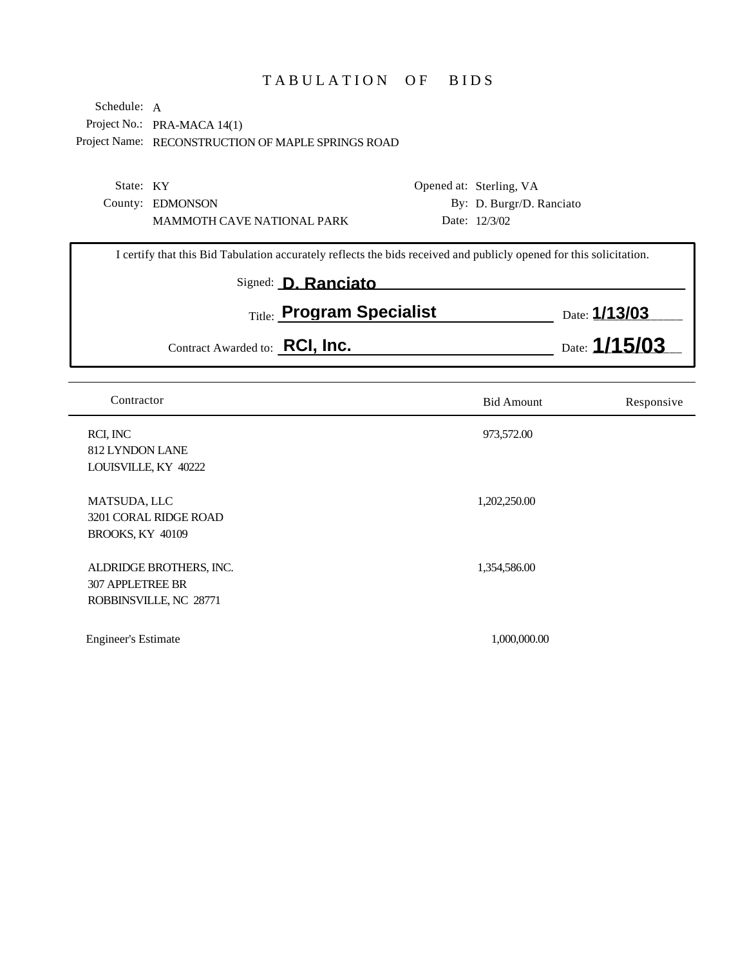## TABULATION OF BIDS

|                                                             | Opened at: Sterling, VA  |
|-------------------------------------------------------------|--------------------------|
|                                                             | By: D. Burgr/D. Ranciato |
|                                                             | Date: $12/3/02$          |
| State: KY<br>County: EDMONSON<br>MAMMOTH CAVE NATIONAL PARK |                          |

| I certify that this Bid Tabulation accurately reflects the bids received and publicly opened for this solicitation. |                           |                      |  |  |
|---------------------------------------------------------------------------------------------------------------------|---------------------------|----------------------|--|--|
|                                                                                                                     | Signed: D. Ranciato       |                      |  |  |
|                                                                                                                     | Title: Program Specialist | Date: <b>1/13/03</b> |  |  |
| Contract Awarded to: RCI, Inc.                                                                                      |                           | Date: $1/15/03$      |  |  |

| Contractor                                                                   | <b>Bid Amount</b> | Responsive |
|------------------------------------------------------------------------------|-------------------|------------|
| RCI, INC<br>812 LYNDON LANE<br>LOUISVILLE, KY 40222                          | 973,572.00        |            |
| MATSUDA, LLC<br>3201 CORAL RIDGE ROAD<br><b>BROOKS, KY 40109</b>             | 1,202,250.00      |            |
| ALDRIDGE BROTHERS, INC.<br><b>307 APPLETREE BR</b><br>ROBBINSVILLE, NC 28771 | 1,354,586.00      |            |
| <b>Engineer's Estimate</b>                                                   | 1,000,000.00      |            |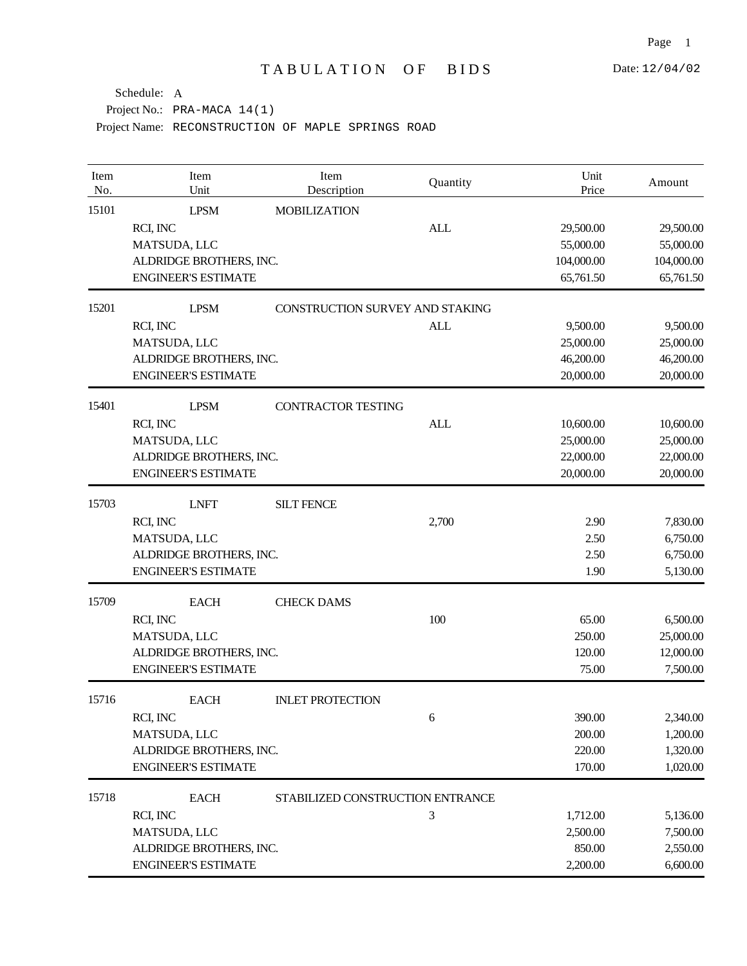| Item<br>No. | Item<br>Unit               | Item<br>Description              | Quantity   | Unit<br>Price | Amount     |
|-------------|----------------------------|----------------------------------|------------|---------------|------------|
| 15101       | <b>LPSM</b>                | <b>MOBILIZATION</b>              |            |               |            |
|             | RCI, INC                   |                                  | <b>ALL</b> | 29,500.00     | 29,500.00  |
|             | MATSUDA, LLC               |                                  |            | 55,000.00     | 55,000.00  |
|             | ALDRIDGE BROTHERS, INC.    |                                  |            | 104,000.00    | 104,000.00 |
|             | <b>ENGINEER'S ESTIMATE</b> |                                  |            | 65,761.50     | 65,761.50  |
| 15201       | <b>LPSM</b>                | CONSTRUCTION SURVEY AND STAKING  |            |               |            |
|             | RCI, INC                   |                                  | <b>ALL</b> | 9,500.00      | 9,500.00   |
|             | MATSUDA, LLC               |                                  |            | 25,000.00     | 25,000.00  |
|             | ALDRIDGE BROTHERS, INC.    |                                  |            | 46,200.00     | 46,200.00  |
|             | <b>ENGINEER'S ESTIMATE</b> |                                  |            | 20,000.00     | 20,000.00  |
| 15401       | <b>LPSM</b>                | <b>CONTRACTOR TESTING</b>        |            |               |            |
|             | RCI, INC                   |                                  | <b>ALL</b> | 10,600.00     | 10,600.00  |
|             | MATSUDA, LLC               |                                  |            | 25,000.00     | 25,000.00  |
|             | ALDRIDGE BROTHERS, INC.    |                                  |            | 22,000.00     | 22,000.00  |
|             | <b>ENGINEER'S ESTIMATE</b> |                                  |            | 20,000.00     | 20,000.00  |
| 15703       | <b>LNFT</b>                | <b>SILT FENCE</b>                |            |               |            |
|             | RCI, INC                   |                                  | 2,700      | 2.90          | 7,830.00   |
|             | MATSUDA, LLC               |                                  |            | 2.50          | 6,750.00   |
|             | ALDRIDGE BROTHERS, INC.    |                                  |            | 2.50          | 6,750.00   |
|             | <b>ENGINEER'S ESTIMATE</b> |                                  |            | 1.90          | 5,130.00   |
| 15709       | <b>EACH</b>                | <b>CHECK DAMS</b>                |            |               |            |
|             | RCI, INC                   |                                  | 100        | 65.00         | 6,500.00   |
|             | MATSUDA, LLC               |                                  |            | 250.00        | 25,000.00  |
|             | ALDRIDGE BROTHERS, INC.    |                                  |            | 120.00        | 12,000.00  |
|             | <b>ENGINEER'S ESTIMATE</b> |                                  |            | 75.00         | 7,500.00   |
| 15716       | <b>EACH</b>                | <b>INLET PROTECTION</b>          |            |               |            |
|             | RCI, INC                   |                                  | 6          | 390.00        | 2,340.00   |
|             | MATSUDA, LLC               |                                  |            | 200.00        | 1,200.00   |
|             | ALDRIDGE BROTHERS, INC.    |                                  |            | 220.00        | 1,320.00   |
|             | <b>ENGINEER'S ESTIMATE</b> |                                  |            | 170.00        | 1,020.00   |
| 15718       | <b>EACH</b>                | STABILIZED CONSTRUCTION ENTRANCE |            |               |            |
|             | RCI, INC                   |                                  | 3          | 1,712.00      | 5,136.00   |
|             | MATSUDA, LLC               |                                  |            | 2,500.00      | 7,500.00   |
|             | ALDRIDGE BROTHERS, INC.    |                                  |            | 850.00        | 2,550.00   |
|             | <b>ENGINEER'S ESTIMATE</b> |                                  |            | 2,200.00      | 6,600.00   |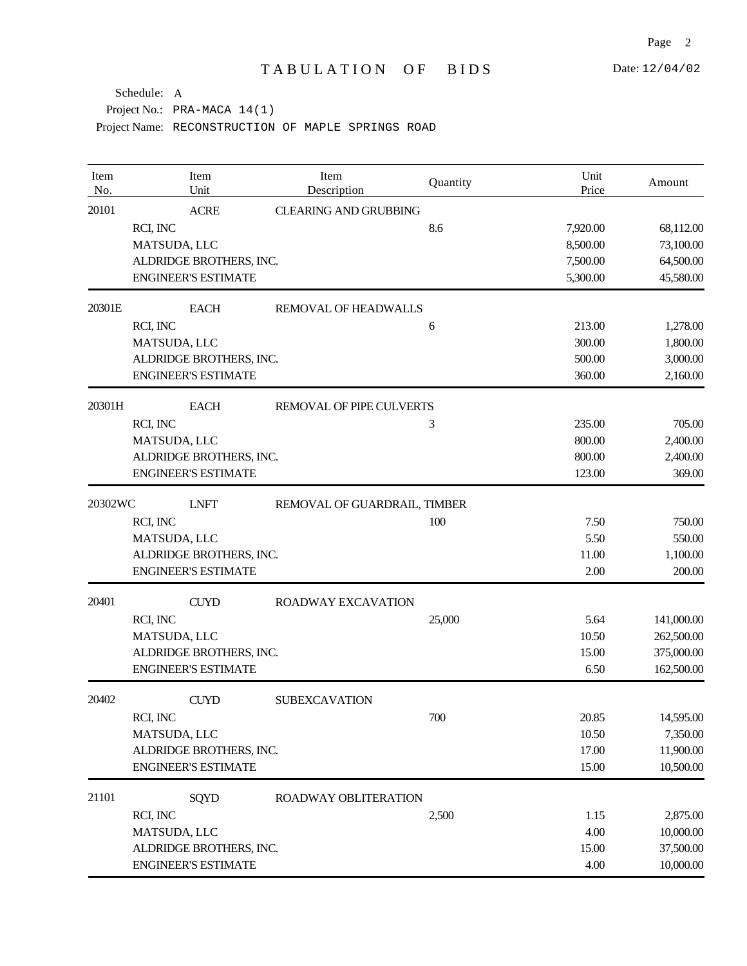| Item<br>No. | Item<br>Unit               | Item<br>Description          | Quantity | Unit<br>Price | Amount     |
|-------------|----------------------------|------------------------------|----------|---------------|------------|
| 20101       | <b>ACRE</b>                | <b>CLEARING AND GRUBBING</b> |          |               |            |
|             | RCI, INC                   |                              | 8.6      | 7,920.00      | 68,112.00  |
|             | MATSUDA, LLC               |                              |          | 8,500.00      | 73,100.00  |
|             | ALDRIDGE BROTHERS, INC.    |                              |          | 7,500.00      | 64,500.00  |
|             | <b>ENGINEER'S ESTIMATE</b> |                              |          | 5,300.00      | 45,580.00  |
| 20301E      | <b>EACH</b>                | REMOVAL OF HEADWALLS         |          |               |            |
|             | RCI, INC                   |                              | 6        | 213.00        | 1,278.00   |
|             | MATSUDA, LLC               |                              |          | 300.00        | 1,800.00   |
|             | ALDRIDGE BROTHERS, INC.    |                              |          | 500.00        | 3,000.00   |
|             | <b>ENGINEER'S ESTIMATE</b> |                              |          | 360.00        | 2,160.00   |
| 20301H      | <b>EACH</b>                | REMOVAL OF PIPE CULVERTS     |          |               |            |
|             | RCI, INC                   |                              | 3        | 235.00        | 705.00     |
|             | MATSUDA, LLC               |                              |          | 800.00        | 2,400.00   |
|             | ALDRIDGE BROTHERS, INC.    |                              |          | 800.00        | 2,400.00   |
|             | <b>ENGINEER'S ESTIMATE</b> |                              |          | 123.00        | 369.00     |
| 20302WC     | <b>LNFT</b>                | REMOVAL OF GUARDRAIL, TIMBER |          |               |            |
|             | RCI, INC                   |                              | 100      | 7.50          | 750.00     |
|             | MATSUDA, LLC               |                              |          | 5.50          | 550.00     |
|             | ALDRIDGE BROTHERS, INC.    |                              |          | 11.00         | 1,100.00   |
|             | <b>ENGINEER'S ESTIMATE</b> |                              |          | 2.00          | 200.00     |
| 20401       | <b>CUYD</b>                | ROADWAY EXCAVATION           |          |               |            |
|             | RCI, INC                   |                              | 25,000   | 5.64          | 141,000.00 |
|             | MATSUDA, LLC               |                              |          | 10.50         | 262,500.00 |
|             | ALDRIDGE BROTHERS, INC.    |                              |          | 15.00         | 375,000.00 |
|             | <b>ENGINEER'S ESTIMATE</b> |                              |          | 6.50          | 162,500.00 |
| 20402       | <b>CUYD</b>                | <b>SUBEXCAVATION</b>         |          |               |            |
|             | RCI, INC                   |                              | 700      | 20.85         | 14,595.00  |
|             | MATSUDA, LLC               |                              |          | 10.50         | 7,350.00   |
|             | ALDRIDGE BROTHERS, INC.    |                              |          | 17.00         | 11,900.00  |
|             | <b>ENGINEER'S ESTIMATE</b> |                              |          | 15.00         | 10,500.00  |
| 21101       | <b>SQYD</b>                | ROADWAY OBLITERATION         |          |               |            |
|             | RCI, INC                   |                              | 2,500    | 1.15          | 2,875.00   |
|             | MATSUDA, LLC               |                              |          | 4.00          | 10,000.00  |
|             | ALDRIDGE BROTHERS, INC.    |                              |          | 15.00         | 37,500.00  |
|             | <b>ENGINEER'S ESTIMATE</b> |                              |          | 4.00          | 10,000.00  |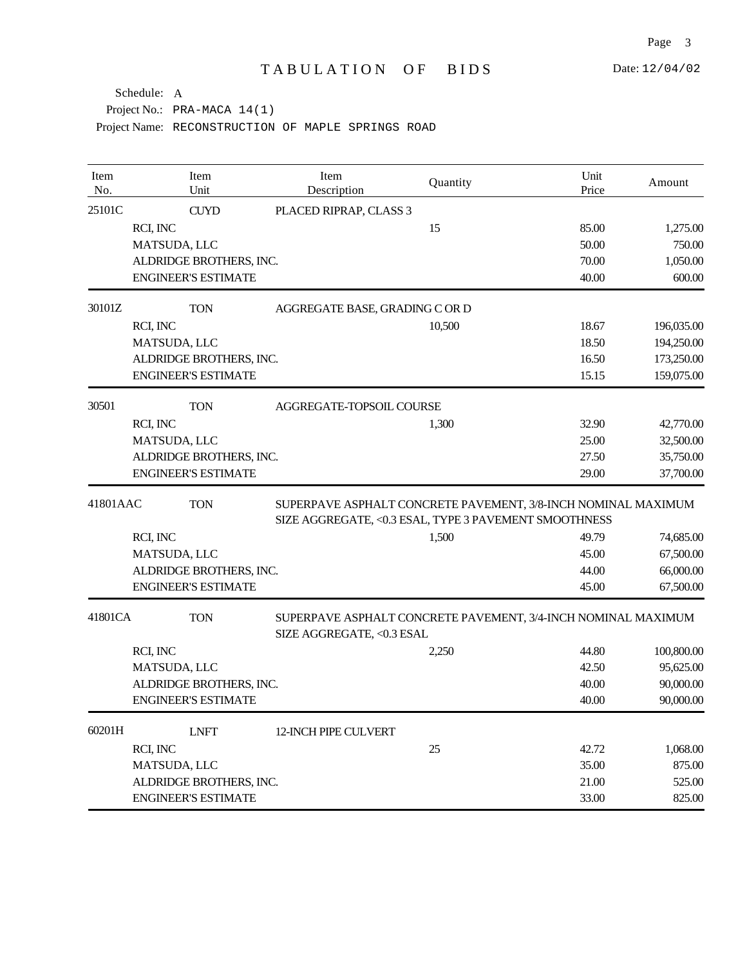| Item<br>No. | Item<br>Unit               | Item<br>Description                                                                                                    | Quantity                                                      | Unit<br>Price | Amount     |  |
|-------------|----------------------------|------------------------------------------------------------------------------------------------------------------------|---------------------------------------------------------------|---------------|------------|--|
| 25101C      | <b>CUYD</b>                | PLACED RIPRAP, CLASS 3                                                                                                 |                                                               |               |            |  |
|             | RCI, INC                   |                                                                                                                        | 15                                                            | 85.00         | 1,275.00   |  |
|             | MATSUDA, LLC               |                                                                                                                        |                                                               | 50.00         | 750.00     |  |
|             | ALDRIDGE BROTHERS, INC.    |                                                                                                                        |                                                               | 70.00         | 1,050.00   |  |
|             | <b>ENGINEER'S ESTIMATE</b> |                                                                                                                        |                                                               | 40.00         | 600.00     |  |
| 30101Z      | <b>TON</b>                 | AGGREGATE BASE, GRADING C OR D                                                                                         |                                                               |               |            |  |
|             | RCI, INC                   |                                                                                                                        | 10,500                                                        | 18.67         | 196,035.00 |  |
|             | MATSUDA, LLC               |                                                                                                                        |                                                               | 18.50         | 194,250.00 |  |
|             | ALDRIDGE BROTHERS, INC.    |                                                                                                                        |                                                               | 16.50         | 173,250.00 |  |
|             | <b>ENGINEER'S ESTIMATE</b> |                                                                                                                        |                                                               | 15.15         | 159,075.00 |  |
| 30501       | <b>TON</b>                 | AGGREGATE-TOPSOIL COURSE                                                                                               |                                                               |               |            |  |
|             | RCI, INC                   |                                                                                                                        | 1,300                                                         | 32.90         | 42,770.00  |  |
|             | MATSUDA, LLC               |                                                                                                                        |                                                               | 25.00         | 32,500.00  |  |
|             | ALDRIDGE BROTHERS, INC.    |                                                                                                                        |                                                               | 27.50         | 35,750.00  |  |
|             | <b>ENGINEER'S ESTIMATE</b> |                                                                                                                        |                                                               | 29.00         | 37,700.00  |  |
| 41801AAC    | <b>TON</b>                 | SUPERPAVE ASPHALT CONCRETE PAVEMENT, 3/8-INCH NOMINAL MAXIMUM<br>SIZE AGGREGATE, <0.3 ESAL, TYPE 3 PAVEMENT SMOOTHNESS |                                                               |               |            |  |
|             | RCI, INC                   |                                                                                                                        | 1,500                                                         | 49.79         | 74,685.00  |  |
|             | MATSUDA, LLC               |                                                                                                                        |                                                               | 45.00         | 67,500.00  |  |
|             | ALDRIDGE BROTHERS, INC.    |                                                                                                                        |                                                               | 44.00         | 66,000.00  |  |
|             | <b>ENGINEER'S ESTIMATE</b> |                                                                                                                        |                                                               | 45.00         | 67,500.00  |  |
| 41801CA     | <b>TON</b>                 | SIZE AGGREGATE, <0.3 ESAL                                                                                              | SUPERPAVE ASPHALT CONCRETE PAVEMENT, 3/4-INCH NOMINAL MAXIMUM |               |            |  |
|             | RCI, INC                   |                                                                                                                        | 2,250                                                         | 44.80         | 100,800.00 |  |
|             | MATSUDA, LLC               |                                                                                                                        |                                                               | 42.50         | 95,625.00  |  |
|             | ALDRIDGE BROTHERS, INC.    |                                                                                                                        |                                                               | 40.00         | 90,000.00  |  |
|             | <b>ENGINEER'S ESTIMATE</b> |                                                                                                                        |                                                               | 40.00         | 90,000.00  |  |
| 60201H      | <b>LNFT</b>                | 12-INCH PIPE CULVERT                                                                                                   |                                                               |               |            |  |
|             | RCI, INC                   |                                                                                                                        | 25                                                            | 42.72         | 1,068.00   |  |
|             | MATSUDA, LLC               |                                                                                                                        |                                                               | 35.00         | 875.00     |  |
|             | ALDRIDGE BROTHERS, INC.    |                                                                                                                        |                                                               | 21.00         | 525.00     |  |
|             | <b>ENGINEER'S ESTIMATE</b> |                                                                                                                        |                                                               | 33.00         | 825.00     |  |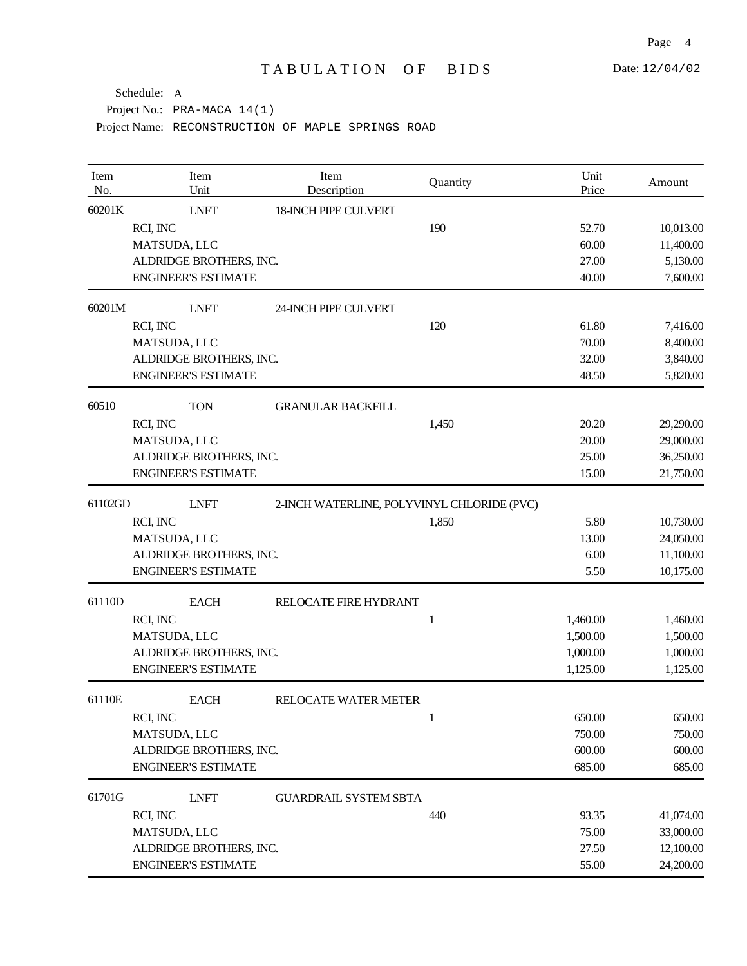Page 4

| Item<br>No. | Item<br>Unit               | Item<br>Description                        | Quantity | Unit<br>Price | Amount    |
|-------------|----------------------------|--------------------------------------------|----------|---------------|-----------|
| 60201K      | <b>LNFT</b>                | <b>18-INCH PIPE CULVERT</b>                |          |               |           |
|             | RCI, INC                   |                                            | 190      | 52.70         | 10,013.00 |
|             | MATSUDA, LLC               |                                            |          | 60.00         | 11,400.00 |
|             | ALDRIDGE BROTHERS, INC.    |                                            |          | 27.00         | 5,130.00  |
|             | <b>ENGINEER'S ESTIMATE</b> |                                            |          | 40.00         | 7,600.00  |
| 60201M      | <b>LNFT</b>                | 24-INCH PIPE CULVERT                       |          |               |           |
|             | RCI, INC                   |                                            | 120      | 61.80         | 7,416.00  |
|             | MATSUDA, LLC               |                                            |          | 70.00         | 8,400.00  |
|             | ALDRIDGE BROTHERS, INC.    |                                            |          | 32.00         | 3,840.00  |
|             | <b>ENGINEER'S ESTIMATE</b> |                                            |          | 48.50         | 5,820.00  |
| 60510       | <b>TON</b>                 | <b>GRANULAR BACKFILL</b>                   |          |               |           |
|             | RCI, INC                   |                                            | 1,450    | 20.20         | 29,290.00 |
|             | MATSUDA, LLC               |                                            |          | 20.00         | 29,000.00 |
|             | ALDRIDGE BROTHERS, INC.    |                                            |          | 25.00         | 36,250.00 |
|             | <b>ENGINEER'S ESTIMATE</b> |                                            |          | 15.00         | 21,750.00 |
| 61102GD     | <b>LNFT</b>                | 2-INCH WATERLINE, POLYVINYL CHLORIDE (PVC) |          |               |           |
|             | RCI, INC                   |                                            | 1,850    | 5.80          | 10,730.00 |
|             | MATSUDA, LLC               |                                            |          | 13.00         | 24,050.00 |
|             | ALDRIDGE BROTHERS, INC.    |                                            |          | 6.00          | 11,100.00 |
|             | <b>ENGINEER'S ESTIMATE</b> |                                            |          | 5.50          | 10,175.00 |
| 61110D      | <b>EACH</b>                | RELOCATE FIRE HYDRANT                      |          |               |           |
|             | RCI, INC                   |                                            | 1        | 1,460.00      | 1,460.00  |
|             | MATSUDA, LLC               |                                            |          | 1,500.00      | 1,500.00  |
|             | ALDRIDGE BROTHERS, INC.    |                                            |          | 1,000.00      | 1,000.00  |
|             | <b>ENGINEER'S ESTIMATE</b> |                                            |          | 1,125.00      | 1,125.00  |
| 61110E      | <b>EACH</b>                | RELOCATE WATER METER                       |          |               |           |
|             | RCI, INC                   |                                            | 1        | 650.00        | 650.00    |
|             | MATSUDA, LLC               |                                            |          | 750.00        | 750.00    |
|             | ALDRIDGE BROTHERS, INC.    |                                            |          | 600.00        | 600.00    |
|             | <b>ENGINEER'S ESTIMATE</b> |                                            |          | 685.00        | 685.00    |
| 61701G      | <b>LNFT</b>                | <b>GUARDRAIL SYSTEM SBTA</b>               |          |               |           |
|             | RCI, INC                   |                                            | 440      | 93.35         | 41,074.00 |
|             | MATSUDA, LLC               |                                            |          | 75.00         | 33,000.00 |
|             | ALDRIDGE BROTHERS, INC.    |                                            |          | 27.50         | 12,100.00 |
|             | <b>ENGINEER'S ESTIMATE</b> |                                            |          | 55.00         | 24,200.00 |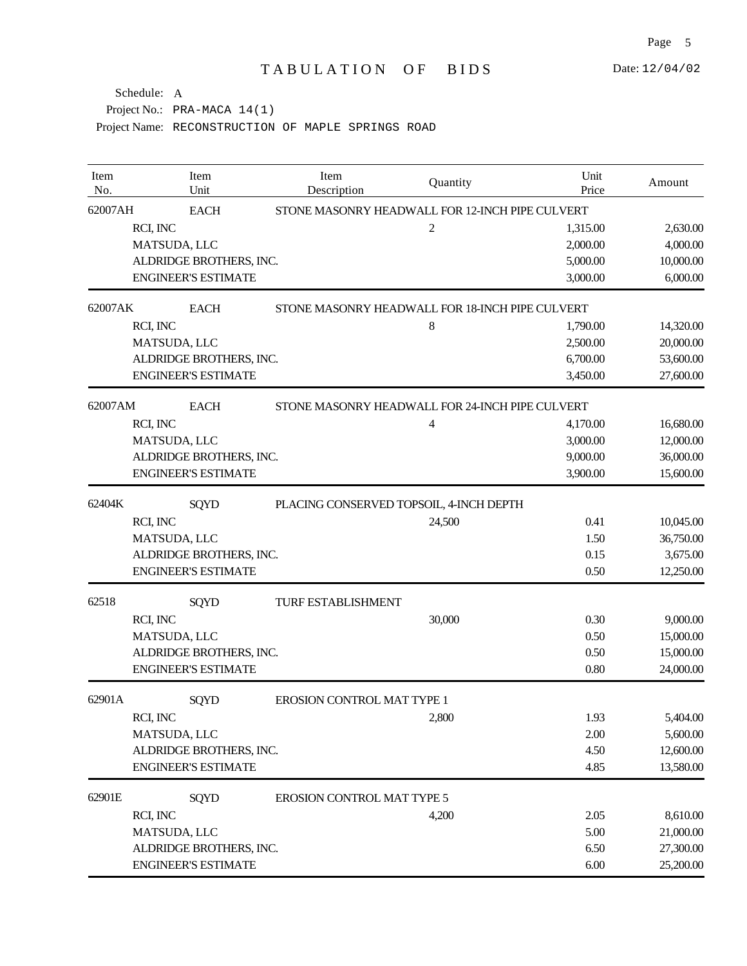Date: 12/04/02

| Item<br>No. | Item<br>Unit                                    | Item<br>Description                             | Quantity | Unit<br>Price | Amount    |  |
|-------------|-------------------------------------------------|-------------------------------------------------|----------|---------------|-----------|--|
| 62007AH     | <b>EACH</b>                                     | STONE MASONRY HEADWALL FOR 12-INCH PIPE CULVERT |          |               |           |  |
|             | RCI, INC                                        |                                                 | 2        | 1,315.00      | 2,630.00  |  |
|             | MATSUDA, LLC                                    |                                                 |          | 2,000.00      | 4,000.00  |  |
|             | ALDRIDGE BROTHERS, INC.                         |                                                 |          | 5,000.00      | 10,000.00 |  |
|             | <b>ENGINEER'S ESTIMATE</b>                      |                                                 |          | 3,000.00      | 6,000.00  |  |
| 62007AK     | <b>EACH</b>                                     | STONE MASONRY HEADWALL FOR 18-INCH PIPE CULVERT |          |               |           |  |
|             | RCI, INC                                        |                                                 | 8        | 1,790.00      | 14,320.00 |  |
|             | MATSUDA, LLC                                    |                                                 |          | 2,500.00      | 20,000.00 |  |
|             | ALDRIDGE BROTHERS, INC.                         |                                                 |          | 6,700.00      | 53,600.00 |  |
|             | <b>ENGINEER'S ESTIMATE</b>                      |                                                 |          | 3,450.00      | 27,600.00 |  |
| 62007AM     | <b>EACH</b>                                     | STONE MASONRY HEADWALL FOR 24-INCH PIPE CULVERT |          |               |           |  |
|             | RCI, INC                                        |                                                 | 4        | 4,170.00      | 16,680.00 |  |
|             | MATSUDA, LLC                                    |                                                 |          | 3,000.00      | 12,000.00 |  |
|             | ALDRIDGE BROTHERS, INC.                         |                                                 |          | 9,000.00      | 36,000.00 |  |
|             | <b>ENGINEER'S ESTIMATE</b>                      |                                                 |          | 3,900.00      | 15,600.00 |  |
| 62404K      | SQYD<br>PLACING CONSERVED TOPSOIL, 4-INCH DEPTH |                                                 |          |               |           |  |
|             | RCI, INC                                        |                                                 | 24,500   | 0.41          | 10,045.00 |  |
|             | MATSUDA, LLC                                    |                                                 |          | 1.50          | 36,750.00 |  |
|             | ALDRIDGE BROTHERS, INC.                         |                                                 |          | 0.15          | 3,675.00  |  |
|             | <b>ENGINEER'S ESTIMATE</b>                      |                                                 |          | 0.50          | 12,250.00 |  |
| 62518       | SQYD                                            | <b>TURF ESTABLISHMENT</b>                       |          |               |           |  |
|             | RCI, INC                                        |                                                 | 30,000   | 0.30          | 9,000.00  |  |
|             | MATSUDA, LLC                                    |                                                 |          | 0.50          | 15,000.00 |  |
|             | ALDRIDGE BROTHERS, INC.                         |                                                 |          | 0.50          | 15,000.00 |  |
|             | <b>ENGINEER'S ESTIMATE</b>                      |                                                 |          | 0.80          | 24,000.00 |  |
| 62901A      | <b>SQYD</b>                                     | <b>EROSION CONTROL MAT TYPE 1</b>               |          |               |           |  |
|             | RCI, INC                                        |                                                 | 2,800    | 1.93          | 5,404.00  |  |
|             | MATSUDA, LLC                                    |                                                 |          | 2.00          | 5,600.00  |  |
|             | ALDRIDGE BROTHERS, INC.                         |                                                 |          | 4.50          | 12,600.00 |  |
|             | <b>ENGINEER'S ESTIMATE</b>                      |                                                 |          | 4.85          | 13,580.00 |  |
| 62901E      | <b>SQYD</b>                                     | <b>EROSION CONTROL MAT TYPE 5</b>               |          |               |           |  |
|             | RCI, INC                                        |                                                 | 4,200    | 2.05          | 8,610.00  |  |
|             | MATSUDA, LLC                                    |                                                 |          | 5.00          | 21,000.00 |  |
|             | ALDRIDGE BROTHERS, INC.                         |                                                 |          | 6.50          | 27,300.00 |  |
|             | <b>ENGINEER'S ESTIMATE</b>                      |                                                 |          | 6.00          | 25,200.00 |  |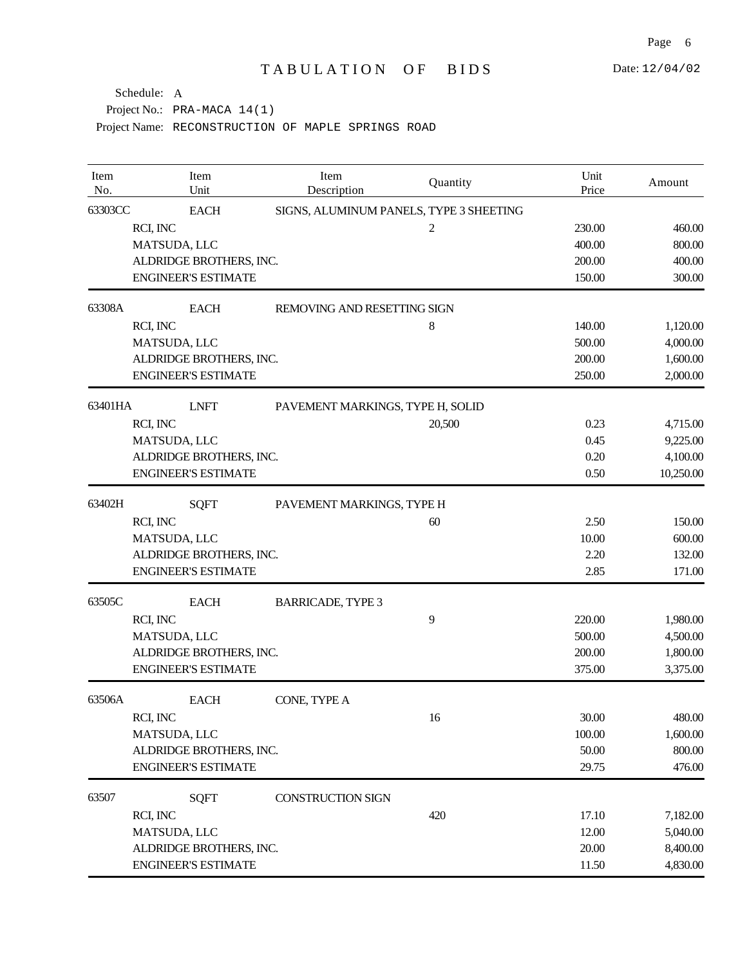| Item<br>No. | Item<br>Unit                             | Item<br>Description              | Quantity                                | Unit<br>Price | Amount    |
|-------------|------------------------------------------|----------------------------------|-----------------------------------------|---------------|-----------|
| 63303CC     | <b>EACH</b>                              |                                  | SIGNS, ALUMINUM PANELS, TYPE 3 SHEETING |               |           |
|             | RCI, INC                                 |                                  | $\overline{c}$                          | 230.00        | 460.00    |
|             | MATSUDA, LLC                             |                                  |                                         | 400.00        | 800.00    |
|             | ALDRIDGE BROTHERS, INC.                  |                                  |                                         | 200.00        | 400.00    |
|             | <b>ENGINEER'S ESTIMATE</b>               |                                  |                                         | 150.00        | 300.00    |
| 63308A      | <b>EACH</b>                              | REMOVING AND RESETTING SIGN      |                                         |               |           |
|             | RCI, INC                                 |                                  | 8                                       | 140.00        | 1,120.00  |
|             | MATSUDA, LLC                             |                                  |                                         | 500.00        | 4,000.00  |
|             | ALDRIDGE BROTHERS, INC.                  |                                  |                                         | 200.00        | 1,600.00  |
|             | <b>ENGINEER'S ESTIMATE</b>               |                                  |                                         | 250.00        | 2,000.00  |
| 63401HA     | <b>LNFT</b>                              | PAVEMENT MARKINGS, TYPE H, SOLID |                                         |               |           |
|             | RCI, INC                                 |                                  | 20,500                                  | 0.23          | 4,715.00  |
|             | MATSUDA, LLC                             |                                  |                                         | 0.45          | 9,225.00  |
|             | ALDRIDGE BROTHERS, INC.                  |                                  |                                         | 0.20          | 4,100.00  |
|             | <b>ENGINEER'S ESTIMATE</b>               |                                  |                                         | 0.50          | 10,250.00 |
| 63402H      | <b>SQFT</b><br>PAVEMENT MARKINGS, TYPE H |                                  |                                         |               |           |
|             | RCI, INC                                 |                                  | 60                                      | 2.50          | 150.00    |
|             | MATSUDA, LLC                             |                                  |                                         | 10.00         | 600.00    |
|             | ALDRIDGE BROTHERS, INC.                  |                                  |                                         | 2.20          | 132.00    |
|             | <b>ENGINEER'S ESTIMATE</b>               |                                  |                                         | 2.85          | 171.00    |
| 63505C      | <b>EACH</b>                              | <b>BARRICADE, TYPE 3</b>         |                                         |               |           |
|             | RCI, INC                                 |                                  | 9                                       | 220.00        | 1,980.00  |
|             | MATSUDA, LLC                             |                                  |                                         | 500.00        | 4,500.00  |
|             | ALDRIDGE BROTHERS, INC.                  |                                  |                                         | 200.00        | 1,800.00  |
|             | <b>ENGINEER'S ESTIMATE</b>               |                                  |                                         | 375.00        | 3,375.00  |
| 63506A      | <b>EACH</b>                              | CONE, TYPE A                     |                                         |               |           |
|             | RCI, INC                                 |                                  | 16                                      | 30.00         | 480.00    |
|             | MATSUDA, LLC                             |                                  |                                         | 100.00        | 1,600.00  |
|             | ALDRIDGE BROTHERS, INC.                  |                                  |                                         | 50.00         | 800.00    |
|             | <b>ENGINEER'S ESTIMATE</b>               |                                  |                                         | 29.75         | 476.00    |
| 63507       | <b>SQFT</b>                              | <b>CONSTRUCTION SIGN</b>         |                                         |               |           |
|             | RCI, INC                                 |                                  | 420                                     | 17.10         | 7,182.00  |
|             | MATSUDA, LLC                             |                                  |                                         | 12.00         | 5,040.00  |
|             | ALDRIDGE BROTHERS, INC.                  |                                  |                                         | 20.00         | 8,400.00  |
|             | <b>ENGINEER'S ESTIMATE</b>               |                                  |                                         | 11.50         | 4,830.00  |

Page 6